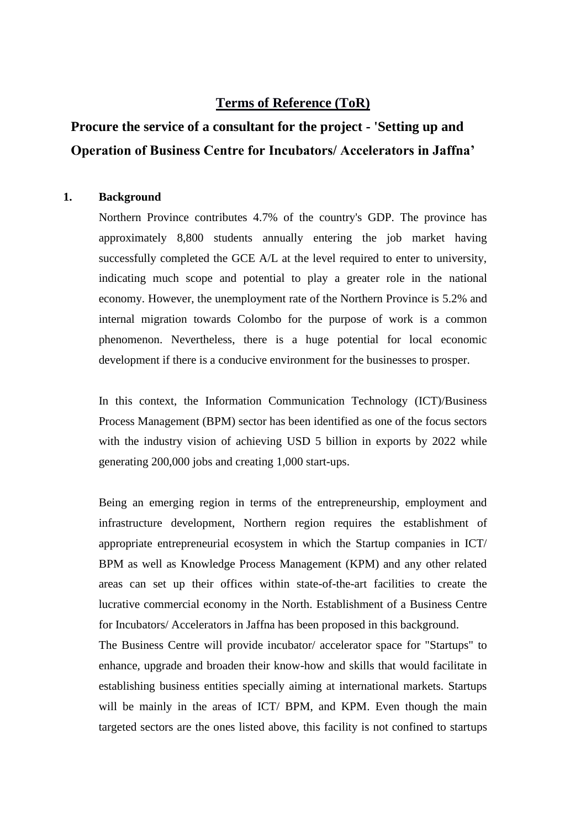## **Terms of Reference (ToR)**

# **Procure the service of a consultant for the project - 'Setting up and Operation of Business Centre for Incubators/ Accelerators in Jaffna'**

#### **1. Background**

Northern Province contributes 4.7% of the country's GDP. The province has approximately 8,800 students annually entering the job market having successfully completed the GCE A/L at the level required to enter to university, indicating much scope and potential to play a greater role in the national economy. However, the unemployment rate of the Northern Province is 5.2% and internal migration towards Colombo for the purpose of work is a common phenomenon. Nevertheless, there is a huge potential for local economic development if there is a conducive environment for the businesses to prosper.

In this context, the Information Communication Technology (ICT)/Business Process Management (BPM) sector has been identified as one of the focus sectors with the industry vision of achieving USD 5 billion in exports by 2022 while generating 200,000 jobs and creating 1,000 start-ups.

Being an emerging region in terms of the entrepreneurship, employment and infrastructure development, Northern region requires the establishment of appropriate entrepreneurial ecosystem in which the Startup companies in ICT/ BPM as well as Knowledge Process Management (KPM) and any other related areas can set up their offices within state-of-the-art facilities to create the lucrative commercial economy in the North. Establishment of a Business Centre for Incubators/ Accelerators in Jaffna has been proposed in this background.

The Business Centre will provide incubator/ accelerator space for "Startups" to enhance, upgrade and broaden their know-how and skills that would facilitate in establishing business entities specially aiming at international markets. Startups will be mainly in the areas of ICT/ BPM, and KPM. Even though the main targeted sectors are the ones listed above, this facility is not confined to startups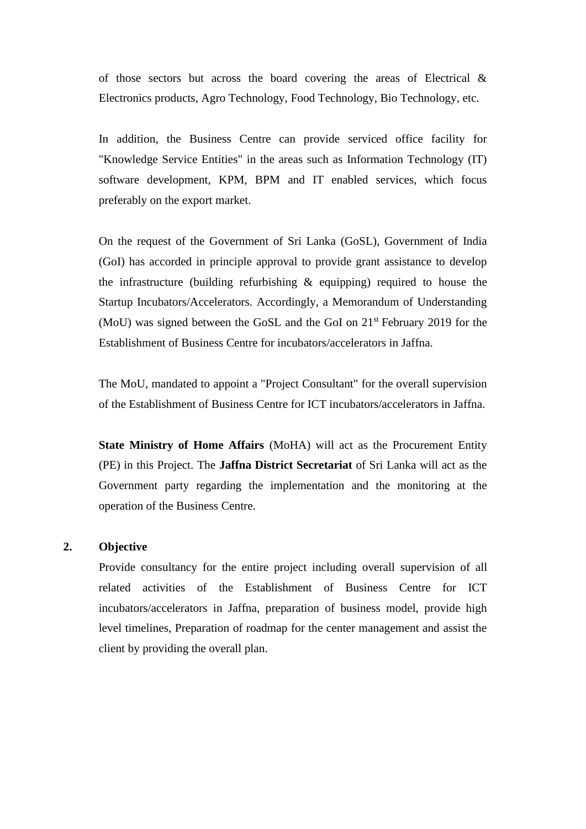of those sectors but across the board covering the areas of Electrical  $\&$ Electronics products, Agro Technology, Food Technology, Bio Technology, etc.

In addition, the Business Centre can provide serviced office facility for "Knowledge Service Entities" in the areas such as Information Technology (IT) software development, KPM, BPM and IT enabled services, which focus preferably on the export market.

On the request of the Government of Sri Lanka (GoSL), Government of India (GoI) has accorded in principle approval to provide grant assistance to develop the infrastructure (building refurbishing & equipping) required to house the Startup Incubators/Accelerators. Accordingly, a Memorandum of Understanding (MoU) was signed between the GoSL and the GoI on  $21<sup>st</sup>$  February 2019 for the Establishment of Business Centre for incubators/accelerators in Jaffna.

The MoU, mandated to appoint a "Project Consultant" for the overall supervision of the Establishment of Business Centre for ICT incubators/accelerators in Jaffna.

**State Ministry of Home Affairs** (MoHA) will act as the Procurement Entity (PE) in this Project. The **Jaffna District Secretariat** of Sri Lanka will act as the Government party regarding the implementation and the monitoring at the operation of the Business Centre.

#### **2. Objective**

Provide consultancy for the entire project including overall supervision of all related activities of the Establishment of Business Centre for ICT incubators/accelerators in Jaffna, preparation of business model, provide high level timelines, Preparation of roadmap for the center management and assist the client by providing the overall plan.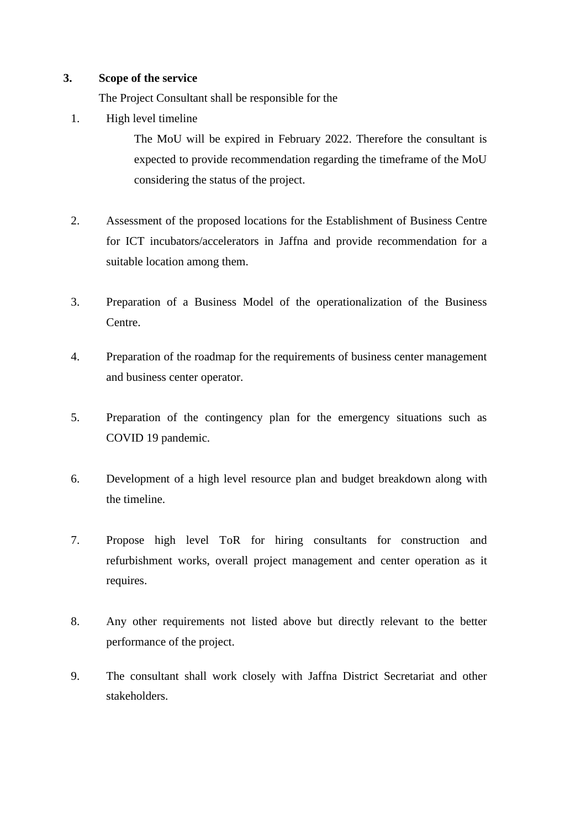#### **3. Scope of the service**

The Project Consultant shall be responsible for the

1. High level timeline

The MoU will be expired in February 2022. Therefore the consultant is expected to provide recommendation regarding the timeframe of the MoU considering the status of the project.

- 2. Assessment of the proposed locations for the Establishment of Business Centre for ICT incubators/accelerators in Jaffna and provide recommendation for a suitable location among them.
- 3. Preparation of a Business Model of the operationalization of the Business Centre.
- 4. Preparation of the roadmap for the requirements of business center management and business center operator.
- 5. Preparation of the contingency plan for the emergency situations such as COVID 19 pandemic.
- 6. Development of a high level resource plan and budget breakdown along with the timeline.
- 7. Propose high level ToR for hiring consultants for construction and refurbishment works, overall project management and center operation as it requires.
- 8. Any other requirements not listed above but directly relevant to the better performance of the project.
- 9. The consultant shall work closely with Jaffna District Secretariat and other stakeholders.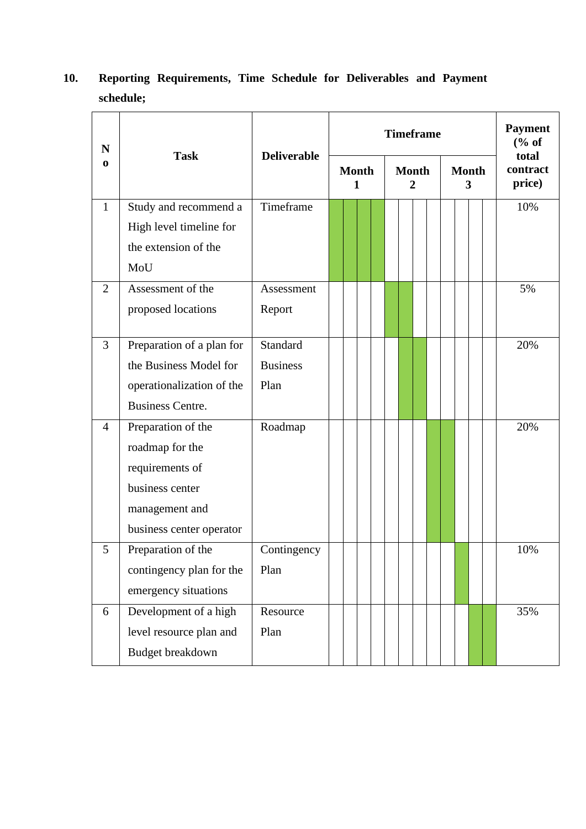| 10. |           | Reporting Requirements, Time Schedule for Deliverables and Payment |  |  |  |
|-----|-----------|--------------------------------------------------------------------|--|--|--|
|     | schedule; |                                                                    |  |  |  |

| N              |                                                                                                                           | <b>Deliverable</b>                  | <b>Timeframe</b>  |  |                   |  |  |                   |  |  |  |                             | <b>Payment</b><br>$\frac{6}{6}$ of |  |     |
|----------------|---------------------------------------------------------------------------------------------------------------------------|-------------------------------------|-------------------|--|-------------------|--|--|-------------------|--|--|--|-----------------------------|------------------------------------|--|-----|
| $\bf{0}$       | <b>Task</b>                                                                                                               |                                     | <b>Month</b><br>1 |  | <b>Month</b><br>2 |  |  | <b>Month</b><br>3 |  |  |  | total<br>contract<br>price) |                                    |  |     |
| $\mathbf{1}$   | Study and recommend a<br>High level timeline for<br>the extension of the<br>MoU                                           | Timeframe                           |                   |  |                   |  |  |                   |  |  |  |                             |                                    |  | 10% |
| $\overline{2}$ | Assessment of the<br>proposed locations                                                                                   | Assessment<br>Report                |                   |  |                   |  |  |                   |  |  |  |                             |                                    |  | 5%  |
| 3              | Preparation of a plan for<br>the Business Model for<br>operationalization of the<br><b>Business Centre.</b>               | Standard<br><b>Business</b><br>Plan |                   |  |                   |  |  |                   |  |  |  |                             |                                    |  | 20% |
| $\overline{4}$ | Preparation of the<br>roadmap for the<br>requirements of<br>business center<br>management and<br>business center operator | Roadmap                             |                   |  |                   |  |  |                   |  |  |  |                             |                                    |  | 20% |
| 5              | Preparation of the<br>contingency plan for the<br>emergency situations                                                    | Contingency<br>Plan                 |                   |  |                   |  |  |                   |  |  |  |                             |                                    |  | 10% |
| 6              | Development of a high<br>level resource plan and<br>Budget breakdown                                                      | Resource<br>Plan                    |                   |  |                   |  |  |                   |  |  |  |                             |                                    |  | 35% |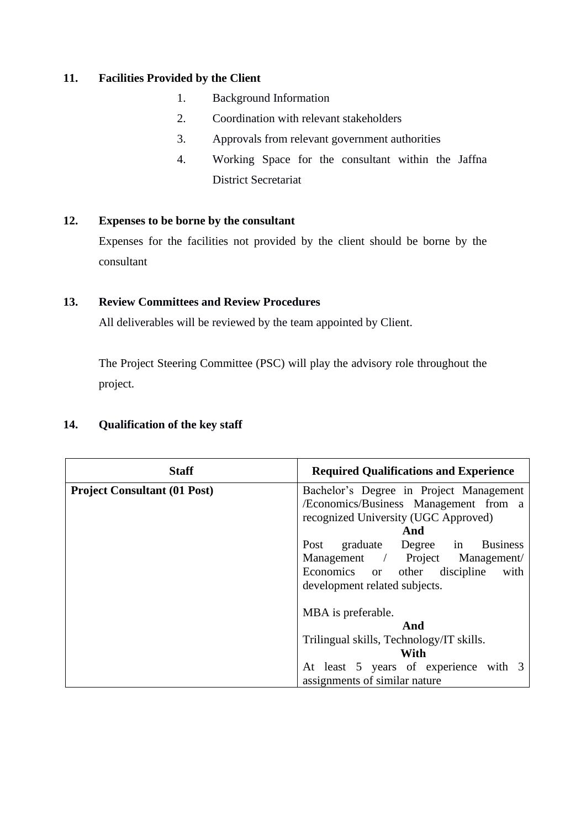### **11. Facilities Provided by the Client**

- 1. Background Information
- 2. Coordination with relevant stakeholders
- 3. Approvals from relevant government authorities
- 4. Working Space for the consultant within the Jaffna District Secretariat

#### **12. Expenses to be borne by the consultant**

Expenses for the facilities not provided by the client should be borne by the consultant

#### **13. Review Committees and Review Procedures**

All deliverables will be reviewed by the team appointed by Client.

The Project Steering Committee (PSC) will play the advisory role throughout the project.

#### **14. Qualification of the key staff**

| <b>Staff</b>                        | <b>Required Qualifications and Experience</b> |
|-------------------------------------|-----------------------------------------------|
| <b>Project Consultant (01 Post)</b> | Bachelor's Degree in Project Management       |
|                                     | /Economics/Business Management from a         |
|                                     | recognized University (UGC Approved)          |
|                                     | And                                           |
|                                     | Post graduate Degree in Business              |
|                                     | Management / Project Management/              |
|                                     | Economics or other discipline<br>with         |
|                                     | development related subjects.                 |
|                                     | MBA is preferable.                            |
|                                     | And                                           |
|                                     | Trilingual skills, Technology/IT skills.      |
|                                     | With                                          |
|                                     | At least 5 years of experience with 3         |
|                                     | assignments of similar nature                 |